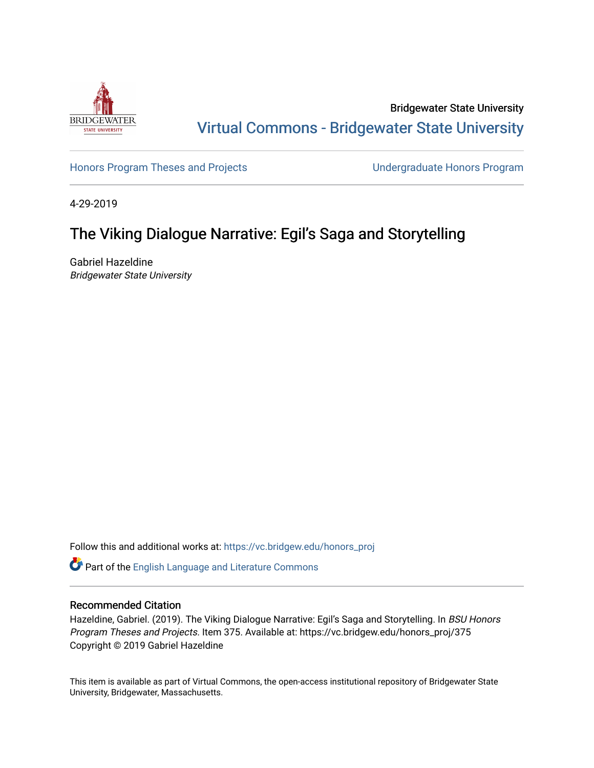

Bridgewater State University [Virtual Commons - Bridgewater State University](https://vc.bridgew.edu/) 

[Honors Program Theses and Projects](https://vc.bridgew.edu/honors_proj) [Undergraduate Honors Program](https://vc.bridgew.edu/honors) 

4-29-2019

# The Viking Dialogue Narrative: Egil's Saga and Storytelling

Gabriel Hazeldine Bridgewater State University

Follow this and additional works at: [https://vc.bridgew.edu/honors\\_proj](https://vc.bridgew.edu/honors_proj?utm_source=vc.bridgew.edu%2Fhonors_proj%2F375&utm_medium=PDF&utm_campaign=PDFCoverPages)

Part of the [English Language and Literature Commons](http://network.bepress.com/hgg/discipline/455?utm_source=vc.bridgew.edu%2Fhonors_proj%2F375&utm_medium=PDF&utm_campaign=PDFCoverPages)

# Recommended Citation

Hazeldine, Gabriel. (2019). The Viking Dialogue Narrative: Egil's Saga and Storytelling. In BSU Honors Program Theses and Projects. Item 375. Available at: https://vc.bridgew.edu/honors\_proj/375 Copyright © 2019 Gabriel Hazeldine

This item is available as part of Virtual Commons, the open-access institutional repository of Bridgewater State University, Bridgewater, Massachusetts.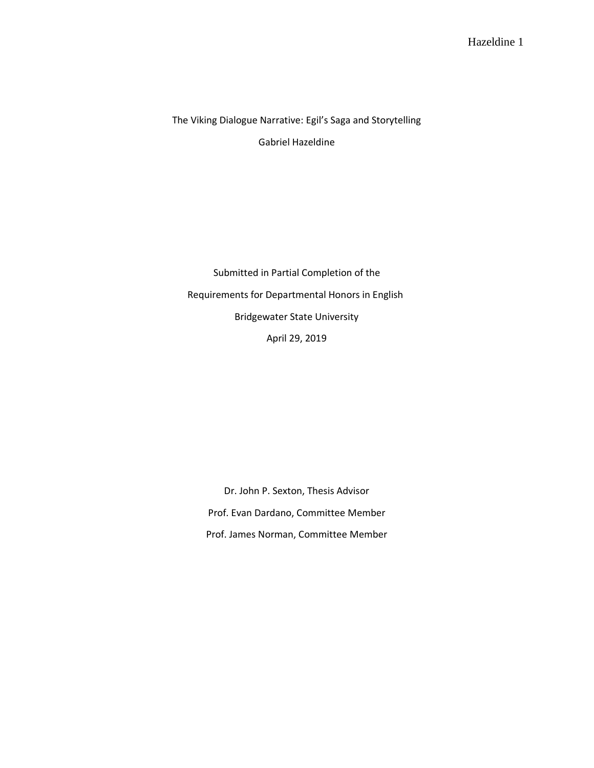The Viking Dialogue Narrative: Egil's Saga and Storytelling Gabriel Hazeldine

Submitted in Partial Completion of the Requirements for Departmental Honors in English Bridgewater State University April 29, 2019

Dr. John P. Sexton, Thesis Advisor Prof. Evan Dardano, Committee Member Prof. James Norman, Committee Member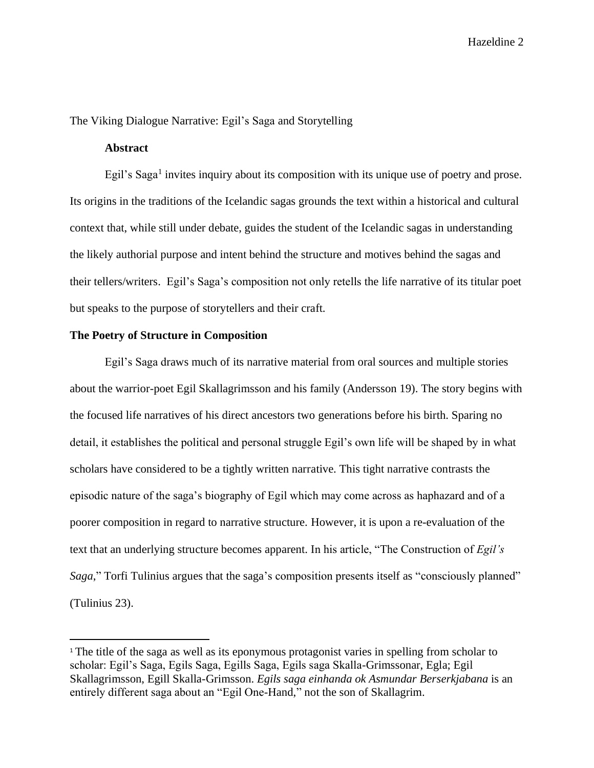The Viking Dialogue Narrative: Egil's Saga and Storytelling

## **Abstract**

Egil's Saga<sup>1</sup> invites inquiry about its composition with its unique use of poetry and prose. Its origins in the traditions of the Icelandic sagas grounds the text within a historical and cultural context that, while still under debate, guides the student of the Icelandic sagas in understanding the likely authorial purpose and intent behind the structure and motives behind the sagas and their tellers/writers. Egil's Saga's composition not only retells the life narrative of its titular poet but speaks to the purpose of storytellers and their craft.

### **The Poetry of Structure in Composition**

Egil's Saga draws much of its narrative material from oral sources and multiple stories about the warrior-poet Egil Skallagrimsson and his family (Andersson 19). The story begins with the focused life narratives of his direct ancestors two generations before his birth. Sparing no detail, it establishes the political and personal struggle Egil's own life will be shaped by in what scholars have considered to be a tightly written narrative. This tight narrative contrasts the episodic nature of the saga's biography of Egil which may come across as haphazard and of a poorer composition in regard to narrative structure. However, it is upon a re-evaluation of the text that an underlying structure becomes apparent. In his article, "The Construction of *Egil's Saga*," Torfi Tulinius argues that the saga's composition presents itself as "consciously planned" (Tulinius 23).

<sup>&</sup>lt;sup>1</sup> The title of the saga as well as its eponymous protagonist varies in spelling from scholar to scholar: Egil's Saga, Egils Saga, Egills Saga, Egils saga Skalla-Grimssonar, Egla; Egil Skallagrimsson, Egill Skalla-Grimsson. *Egils saga einhanda ok Asmundar Berserkjabana* is an entirely different saga about an "Egil One-Hand," not the son of Skallagrim.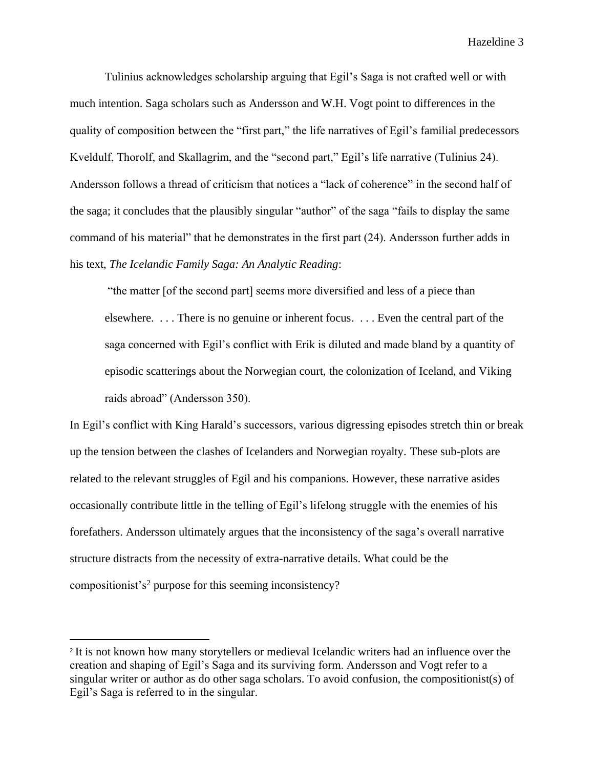Tulinius acknowledges scholarship arguing that Egil's Saga is not crafted well or with much intention. Saga scholars such as Andersson and W.H. Vogt point to differences in the quality of composition between the "first part," the life narratives of Egil's familial predecessors Kveldulf, Thorolf, and Skallagrim, and the "second part," Egil's life narrative (Tulinius 24). Andersson follows a thread of criticism that notices a "lack of coherence" in the second half of the saga; it concludes that the plausibly singular "author" of the saga "fails to display the same command of his material" that he demonstrates in the first part (24). Andersson further adds in his text, *The Icelandic Family Saga: An Analytic Reading*:

"the matter [of the second part] seems more diversified and less of a piece than elsewhere. . . . There is no genuine or inherent focus. . . . Even the central part of the saga concerned with Egil's conflict with Erik is diluted and made bland by a quantity of episodic scatterings about the Norwegian court, the colonization of Iceland, and Viking raids abroad" (Andersson 350).

In Egil's conflict with King Harald's successors, various digressing episodes stretch thin or break up the tension between the clashes of Icelanders and Norwegian royalty. These sub-plots are related to the relevant struggles of Egil and his companions. However, these narrative asides occasionally contribute little in the telling of Egil's lifelong struggle with the enemies of his forefathers. Andersson ultimately argues that the inconsistency of the saga's overall narrative structure distracts from the necessity of extra-narrative details. What could be the compositionist's<sup>2</sup> purpose for this seeming inconsistency?

<sup>&</sup>lt;sup>2</sup> It is not known how many storytellers or medieval Icelandic writers had an influence over the creation and shaping of Egil's Saga and its surviving form. Andersson and Vogt refer to a singular writer or author as do other saga scholars. To avoid confusion, the compositionist(s) of Egil's Saga is referred to in the singular.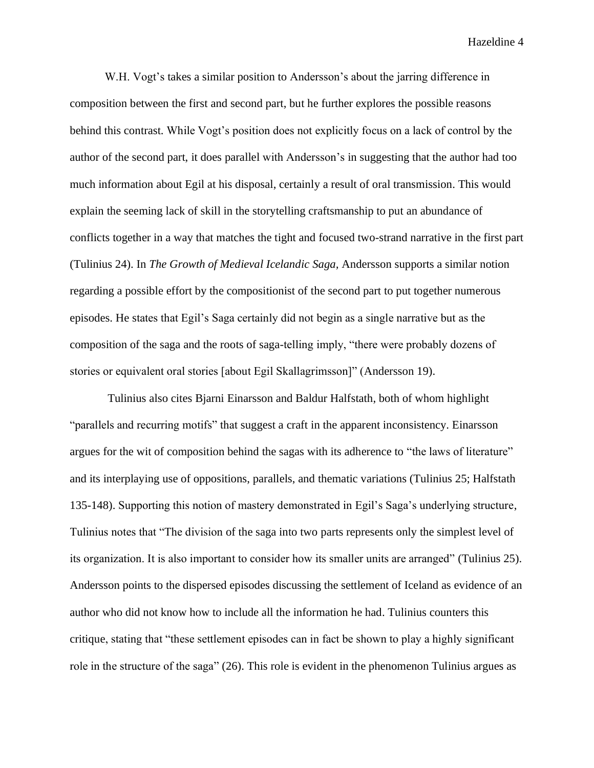W.H. Vogt's takes a similar position to Andersson's about the jarring difference in composition between the first and second part, but he further explores the possible reasons behind this contrast. While Vogt's position does not explicitly focus on a lack of control by the author of the second part, it does parallel with Andersson's in suggesting that the author had too much information about Egil at his disposal, certainly a result of oral transmission. This would explain the seeming lack of skill in the storytelling craftsmanship to put an abundance of conflicts together in a way that matches the tight and focused two-strand narrative in the first part (Tulinius 24). In *The Growth of Medieval Icelandic Saga,* Andersson supports a similar notion regarding a possible effort by the compositionist of the second part to put together numerous episodes. He states that Egil's Saga certainly did not begin as a single narrative but as the composition of the saga and the roots of saga-telling imply, "there were probably dozens of stories or equivalent oral stories [about Egil Skallagrimsson]" (Andersson 19).

Tulinius also cites Bjarni Einarsson and Baldur Halfstath, both of whom highlight "parallels and recurring motifs" that suggest a craft in the apparent inconsistency. Einarsson argues for the wit of composition behind the sagas with its adherence to "the laws of literature" and its interplaying use of oppositions, parallels, and thematic variations (Tulinius 25; Halfstath 135-148). Supporting this notion of mastery demonstrated in Egil's Saga's underlying structure, Tulinius notes that "The division of the saga into two parts represents only the simplest level of its organization. It is also important to consider how its smaller units are arranged" (Tulinius 25). Andersson points to the dispersed episodes discussing the settlement of Iceland as evidence of an author who did not know how to include all the information he had. Tulinius counters this critique, stating that "these settlement episodes can in fact be shown to play a highly significant role in the structure of the saga" (26). This role is evident in the phenomenon Tulinius argues as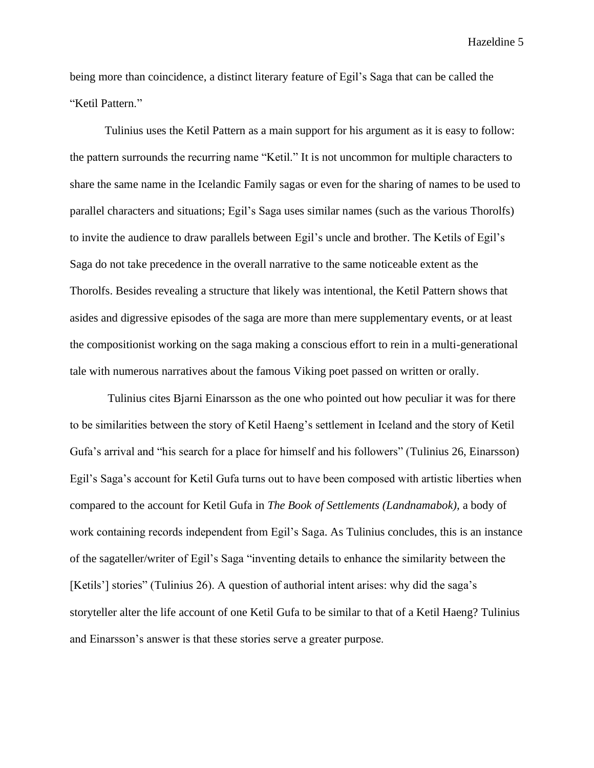being more than coincidence, a distinct literary feature of Egil's Saga that can be called the "Ketil Pattern."

Tulinius uses the Ketil Pattern as a main support for his argument as it is easy to follow: the pattern surrounds the recurring name "Ketil." It is not uncommon for multiple characters to share the same name in the Icelandic Family sagas or even for the sharing of names to be used to parallel characters and situations; Egil's Saga uses similar names (such as the various Thorolfs) to invite the audience to draw parallels between Egil's uncle and brother. The Ketils of Egil's Saga do not take precedence in the overall narrative to the same noticeable extent as the Thorolfs. Besides revealing a structure that likely was intentional, the Ketil Pattern shows that asides and digressive episodes of the saga are more than mere supplementary events, or at least the compositionist working on the saga making a conscious effort to rein in a multi-generational tale with numerous narratives about the famous Viking poet passed on written or orally.

Tulinius cites Bjarni Einarsson as the one who pointed out how peculiar it was for there to be similarities between the story of Ketil Haeng's settlement in Iceland and the story of Ketil Gufa's arrival and "his search for a place for himself and his followers" (Tulinius 26, Einarsson) Egil's Saga's account for Ketil Gufa turns out to have been composed with artistic liberties when compared to the account for Ketil Gufa in *The Book of Settlements (Landnamabok),* a body of work containing records independent from Egil's Saga. As Tulinius concludes, this is an instance of the sagateller/writer of Egil's Saga "inventing details to enhance the similarity between the [Ketils'] stories" (Tulinius 26). A question of authorial intent arises: why did the saga's storyteller alter the life account of one Ketil Gufa to be similar to that of a Ketil Haeng? Tulinius and Einarsson's answer is that these stories serve a greater purpose.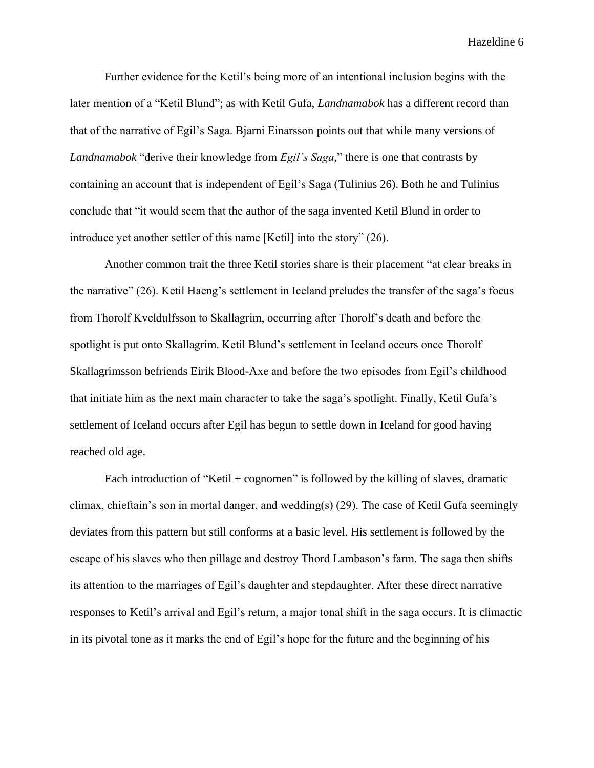Further evidence for the Ketil's being more of an intentional inclusion begins with the later mention of a "Ketil Blund"; as with Ketil Gufa, *Landnamabok* has a different record than that of the narrative of Egil's Saga. Bjarni Einarsson points out that while many versions of *Landnamabok* "derive their knowledge from *Egil's Saga*," there is one that contrasts by containing an account that is independent of Egil's Saga (Tulinius 26). Both he and Tulinius conclude that "it would seem that the author of the saga invented Ketil Blund in order to introduce yet another settler of this name [Ketil] into the story" (26).

Another common trait the three Ketil stories share is their placement "at clear breaks in the narrative" (26). Ketil Haeng's settlement in Iceland preludes the transfer of the saga's focus from Thorolf Kveldulfsson to Skallagrim, occurring after Thorolf's death and before the spotlight is put onto Skallagrim. Ketil Blund's settlement in Iceland occurs once Thorolf Skallagrimsson befriends Eirik Blood-Axe and before the two episodes from Egil's childhood that initiate him as the next main character to take the saga's spotlight. Finally, Ketil Gufa's settlement of Iceland occurs after Egil has begun to settle down in Iceland for good having reached old age.

Each introduction of "Ketil + cognomen" is followed by the killing of slaves, dramatic climax, chieftain's son in mortal danger, and wedding(s) (29). The case of Ketil Gufa seemingly deviates from this pattern but still conforms at a basic level. His settlement is followed by the escape of his slaves who then pillage and destroy Thord Lambason's farm. The saga then shifts its attention to the marriages of Egil's daughter and stepdaughter. After these direct narrative responses to Ketil's arrival and Egil's return, a major tonal shift in the saga occurs. It is climactic in its pivotal tone as it marks the end of Egil's hope for the future and the beginning of his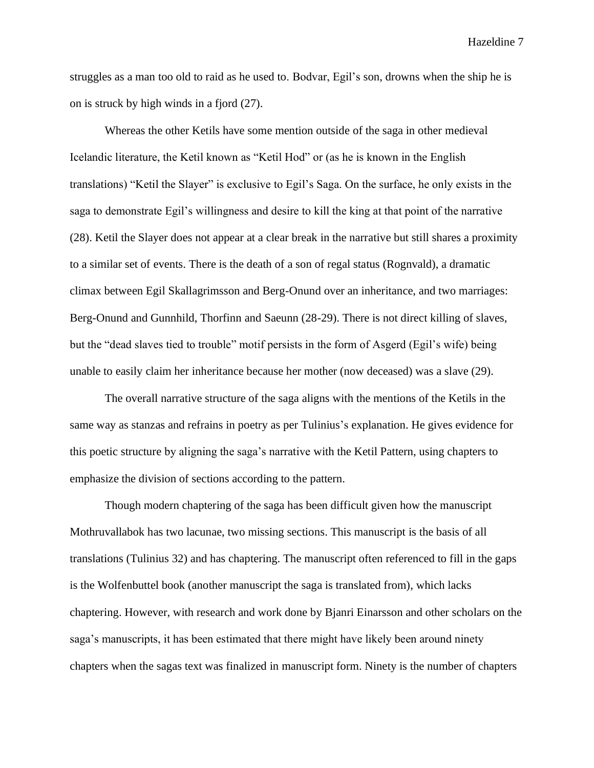struggles as a man too old to raid as he used to. Bodvar, Egil's son, drowns when the ship he is on is struck by high winds in a fjord (27).

Whereas the other Ketils have some mention outside of the saga in other medieval Icelandic literature, the Ketil known as "Ketil Hod" or (as he is known in the English translations) "Ketil the Slayer" is exclusive to Egil's Saga. On the surface, he only exists in the saga to demonstrate Egil's willingness and desire to kill the king at that point of the narrative (28). Ketil the Slayer does not appear at a clear break in the narrative but still shares a proximity to a similar set of events. There is the death of a son of regal status (Rognvald), a dramatic climax between Egil Skallagrimsson and Berg-Onund over an inheritance, and two marriages: Berg-Onund and Gunnhild, Thorfinn and Saeunn (28-29). There is not direct killing of slaves, but the "dead slaves tied to trouble" motif persists in the form of Asgerd (Egil's wife) being unable to easily claim her inheritance because her mother (now deceased) was a slave (29).

The overall narrative structure of the saga aligns with the mentions of the Ketils in the same way as stanzas and refrains in poetry as per Tulinius's explanation. He gives evidence for this poetic structure by aligning the saga's narrative with the Ketil Pattern, using chapters to emphasize the division of sections according to the pattern.

Though modern chaptering of the saga has been difficult given how the manuscript Mothruvallabok has two lacunae, two missing sections. This manuscript is the basis of all translations (Tulinius 32) and has chaptering. The manuscript often referenced to fill in the gaps is the Wolfenbuttel book (another manuscript the saga is translated from), which lacks chaptering. However, with research and work done by Bjanri Einarsson and other scholars on the saga's manuscripts, it has been estimated that there might have likely been around ninety chapters when the sagas text was finalized in manuscript form. Ninety is the number of chapters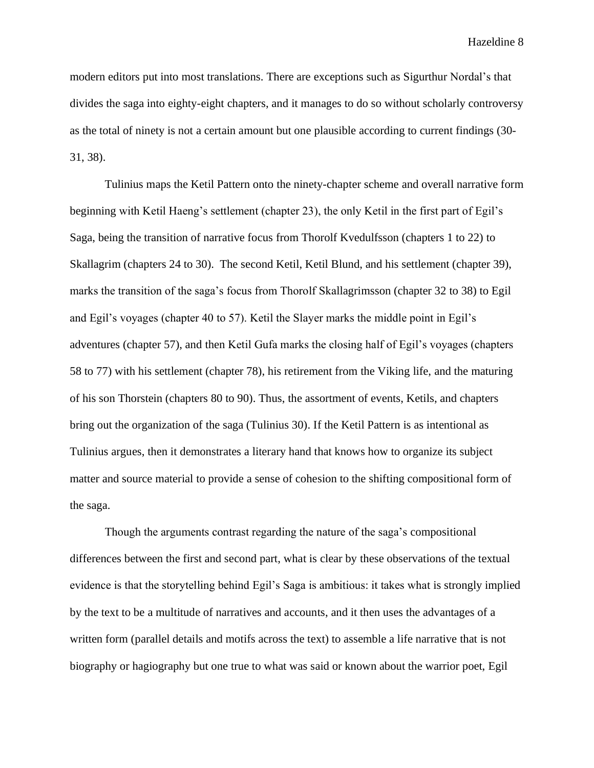modern editors put into most translations. There are exceptions such as Sigurthur Nordal's that divides the saga into eighty-eight chapters, and it manages to do so without scholarly controversy as the total of ninety is not a certain amount but one plausible according to current findings (30- 31, 38).

Tulinius maps the Ketil Pattern onto the ninety-chapter scheme and overall narrative form beginning with Ketil Haeng's settlement (chapter 23), the only Ketil in the first part of Egil's Saga, being the transition of narrative focus from Thorolf Kvedulfsson (chapters 1 to 22) to Skallagrim (chapters 24 to 30). The second Ketil, Ketil Blund, and his settlement (chapter 39), marks the transition of the saga's focus from Thorolf Skallagrimsson (chapter 32 to 38) to Egil and Egil's voyages (chapter 40 to 57). Ketil the Slayer marks the middle point in Egil's adventures (chapter 57), and then Ketil Gufa marks the closing half of Egil's voyages (chapters 58 to 77) with his settlement (chapter 78), his retirement from the Viking life, and the maturing of his son Thorstein (chapters 80 to 90). Thus, the assortment of events, Ketils, and chapters bring out the organization of the saga (Tulinius 30). If the Ketil Pattern is as intentional as Tulinius argues, then it demonstrates a literary hand that knows how to organize its subject matter and source material to provide a sense of cohesion to the shifting compositional form of the saga.

Though the arguments contrast regarding the nature of the saga's compositional differences between the first and second part, what is clear by these observations of the textual evidence is that the storytelling behind Egil's Saga is ambitious: it takes what is strongly implied by the text to be a multitude of narratives and accounts, and it then uses the advantages of a written form (parallel details and motifs across the text) to assemble a life narrative that is not biography or hagiography but one true to what was said or known about the warrior poet, Egil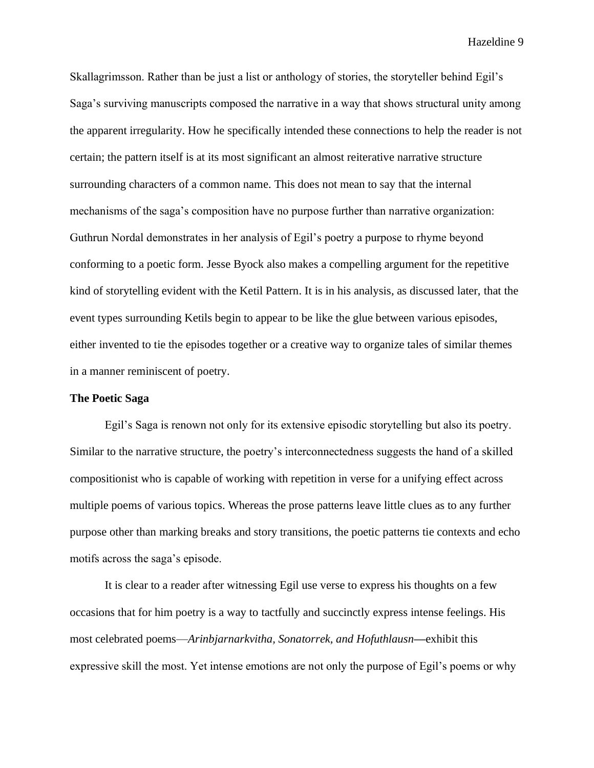Skallagrimsson. Rather than be just a list or anthology of stories, the storyteller behind Egil's Saga's surviving manuscripts composed the narrative in a way that shows structural unity among the apparent irregularity. How he specifically intended these connections to help the reader is not certain; the pattern itself is at its most significant an almost reiterative narrative structure surrounding characters of a common name. This does not mean to say that the internal mechanisms of the saga's composition have no purpose further than narrative organization: Guthrun Nordal demonstrates in her analysis of Egil's poetry a purpose to rhyme beyond conforming to a poetic form. Jesse Byock also makes a compelling argument for the repetitive kind of storytelling evident with the Ketil Pattern. It is in his analysis, as discussed later, that the event types surrounding Ketils begin to appear to be like the glue between various episodes, either invented to tie the episodes together or a creative way to organize tales of similar themes in a manner reminiscent of poetry.

### **The Poetic Saga**

Egil's Saga is renown not only for its extensive episodic storytelling but also its poetry. Similar to the narrative structure, the poetry's interconnectedness suggests the hand of a skilled compositionist who is capable of working with repetition in verse for a unifying effect across multiple poems of various topics. Whereas the prose patterns leave little clues as to any further purpose other than marking breaks and story transitions, the poetic patterns tie contexts and echo motifs across the saga's episode.

It is clear to a reader after witnessing Egil use verse to express his thoughts on a few occasions that for him poetry is a way to tactfully and succinctly express intense feelings. His most celebrated poems—*Arinbjarnarkvitha, Sonatorrek, and Hofuthlausn***—**exhibit this expressive skill the most. Yet intense emotions are not only the purpose of Egil's poems or why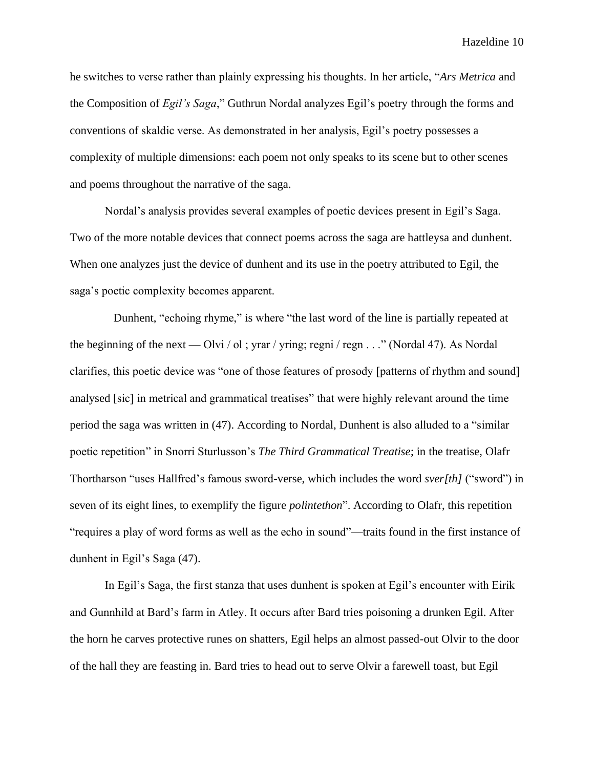he switches to verse rather than plainly expressing his thoughts. In her article, "*Ars Metrica* and the Composition of *Egil's Saga*," Guthrun Nordal analyzes Egil's poetry through the forms and conventions of skaldic verse. As demonstrated in her analysis, Egil's poetry possesses a complexity of multiple dimensions: each poem not only speaks to its scene but to other scenes and poems throughout the narrative of the saga.

Nordal's analysis provides several examples of poetic devices present in Egil's Saga. Two of the more notable devices that connect poems across the saga are hattleysa and dunhent. When one analyzes just the device of dunhent and its use in the poetry attributed to Egil, the saga's poetic complexity becomes apparent.

Dunhent, "echoing rhyme," is where "the last word of the line is partially repeated at the beginning of the next — Olvi / ol; yrar / yring; regni / regn  $\ldots$  " (Nordal 47). As Nordal clarifies, this poetic device was "one of those features of prosody [patterns of rhythm and sound] analysed [sic] in metrical and grammatical treatises" that were highly relevant around the time period the saga was written in (47). According to Nordal, Dunhent is also alluded to a "similar poetic repetition" in Snorri Sturlusson's *The Third Grammatical Treatise*; in the treatise, Olafr Thortharson "uses Hallfred's famous sword-verse, which includes the word *sver[th]* ("sword") in seven of its eight lines, to exemplify the figure *polintethon*". According to Olafr, this repetition "requires a play of word forms as well as the echo in sound"—traits found in the first instance of dunhent in Egil's Saga (47).

In Egil's Saga, the first stanza that uses dunhent is spoken at Egil's encounter with Eirik and Gunnhild at Bard's farm in Atley. It occurs after Bard tries poisoning a drunken Egil. After the horn he carves protective runes on shatters, Egil helps an almost passed-out Olvir to the door of the hall they are feasting in. Bard tries to head out to serve Olvir a farewell toast, but Egil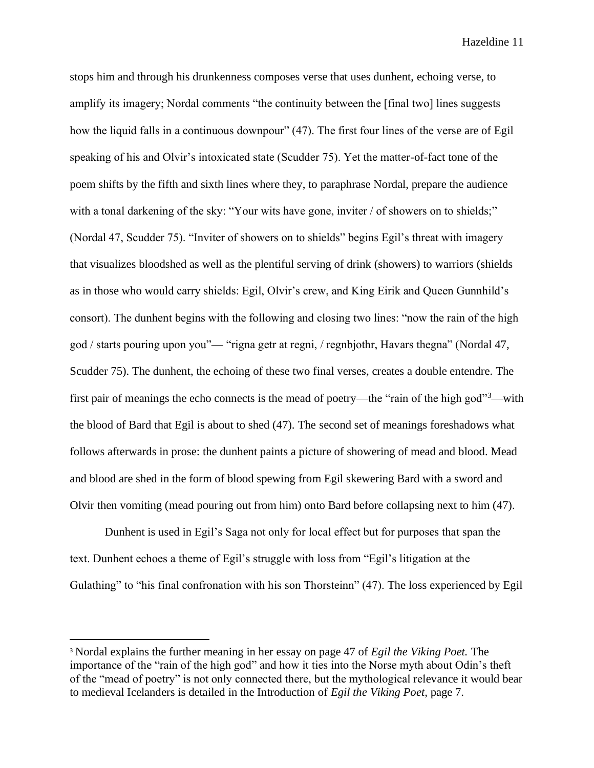stops him and through his drunkenness composes verse that uses dunhent, echoing verse, to amplify its imagery; Nordal comments "the continuity between the [final two] lines suggests how the liquid falls in a continuous downpour" (47). The first four lines of the verse are of Egil speaking of his and Olvir's intoxicated state (Scudder 75). Yet the matter-of-fact tone of the poem shifts by the fifth and sixth lines where they, to paraphrase Nordal, prepare the audience with a tonal darkening of the sky: "Your wits have gone, inviter / of showers on to shields;" (Nordal 47, Scudder 75). "Inviter of showers on to shields" begins Egil's threat with imagery that visualizes bloodshed as well as the plentiful serving of drink (showers) to warriors (shields as in those who would carry shields: Egil, Olvir's crew, and King Eirik and Queen Gunnhild's consort). The dunhent begins with the following and closing two lines: "now the rain of the high god / starts pouring upon you"— "rigna getr at regni, / regnbjothr, Havars thegna" (Nordal 47, Scudder 75). The dunhent, the echoing of these two final verses, creates a double entendre. The first pair of meanings the echo connects is the mead of poetry—the "rain of the high god"<sup>3</sup>—with the blood of Bard that Egil is about to shed (47). The second set of meanings foreshadows what follows afterwards in prose: the dunhent paints a picture of showering of mead and blood. Mead and blood are shed in the form of blood spewing from Egil skewering Bard with a sword and Olvir then vomiting (mead pouring out from him) onto Bard before collapsing next to him (47).

Dunhent is used in Egil's Saga not only for local effect but for purposes that span the text. Dunhent echoes a theme of Egil's struggle with loss from "Egil's litigation at the Gulathing" to "his final confronation with his son Thorsteinn" (47). The loss experienced by Egil

<sup>3</sup> Nordal explains the further meaning in her essay on page 47 of *Egil the Viking Poet.* The importance of the "rain of the high god" and how it ties into the Norse myth about Odin's theft of the "mead of poetry" is not only connected there, but the mythological relevance it would bear to medieval Icelanders is detailed in the Introduction of *Egil the Viking Poet,* page 7.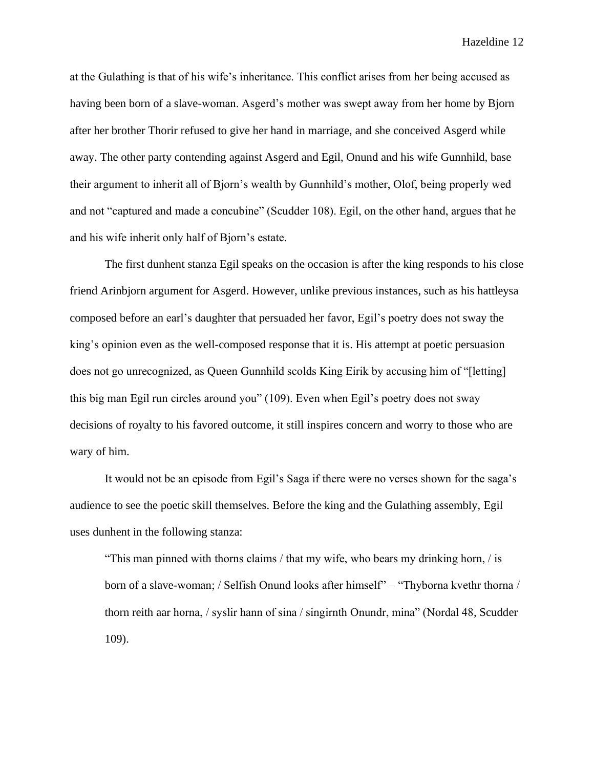at the Gulathing is that of his wife's inheritance. This conflict arises from her being accused as having been born of a slave-woman. Asgerd's mother was swept away from her home by Bjorn after her brother Thorir refused to give her hand in marriage, and she conceived Asgerd while away. The other party contending against Asgerd and Egil, Onund and his wife Gunnhild, base their argument to inherit all of Bjorn's wealth by Gunnhild's mother, Olof, being properly wed and not "captured and made a concubine" (Scudder 108). Egil, on the other hand, argues that he and his wife inherit only half of Bjorn's estate.

The first dunhent stanza Egil speaks on the occasion is after the king responds to his close friend Arinbjorn argument for Asgerd. However, unlike previous instances, such as his hattleysa composed before an earl's daughter that persuaded her favor, Egil's poetry does not sway the king's opinion even as the well-composed response that it is. His attempt at poetic persuasion does not go unrecognized, as Queen Gunnhild scolds King Eirik by accusing him of "[letting] this big man Egil run circles around you" (109). Even when Egil's poetry does not sway decisions of royalty to his favored outcome, it still inspires concern and worry to those who are wary of him.

It would not be an episode from Egil's Saga if there were no verses shown for the saga's audience to see the poetic skill themselves. Before the king and the Gulathing assembly, Egil uses dunhent in the following stanza:

"This man pinned with thorns claims / that my wife, who bears my drinking horn, / is born of a slave-woman; / Selfish Onund looks after himself" – "Thyborna kvethr thorna / thorn reith aar horna, / syslir hann of sina / singirnth Onundr, mina" (Nordal 48, Scudder 109).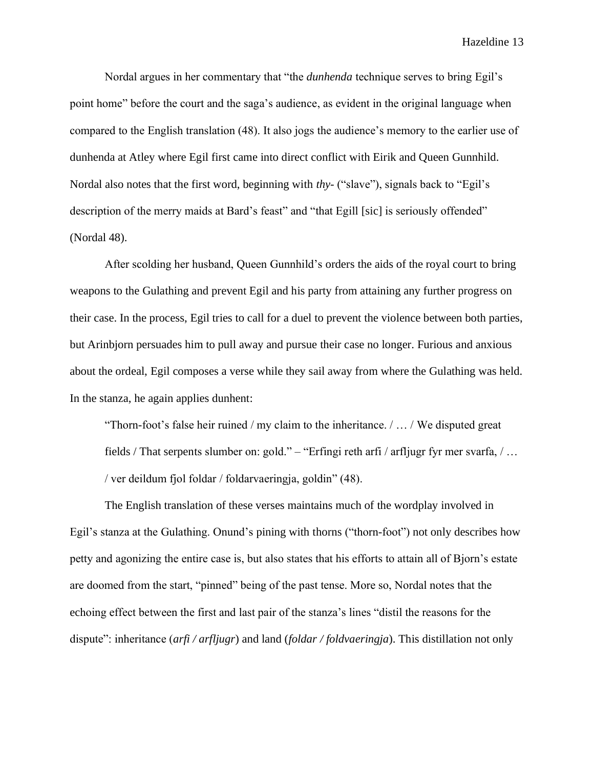Nordal argues in her commentary that "the *dunhenda* technique serves to bring Egil's point home" before the court and the saga's audience, as evident in the original language when compared to the English translation (48). It also jogs the audience's memory to the earlier use of dunhenda at Atley where Egil first came into direct conflict with Eirik and Queen Gunnhild. Nordal also notes that the first word, beginning with *thy-* ("slave"), signals back to "Egil's description of the merry maids at Bard's feast" and "that Egill [sic] is seriously offended" (Nordal 48).

After scolding her husband, Queen Gunnhild's orders the aids of the royal court to bring weapons to the Gulathing and prevent Egil and his party from attaining any further progress on their case. In the process, Egil tries to call for a duel to prevent the violence between both parties, but Arinbjorn persuades him to pull away and pursue their case no longer. Furious and anxious about the ordeal, Egil composes a verse while they sail away from where the Gulathing was held. In the stanza, he again applies dunhent:

"Thorn-foot's false heir ruined / my claim to the inheritance. / … / We disputed great fields / That serpents slumber on: gold." – "Erfingi reth arfi / arfljugr fyr mer svarfa, / … / ver deildum fjol foldar / foldarvaeringja, goldin" (48).

The English translation of these verses maintains much of the wordplay involved in Egil's stanza at the Gulathing. Onund's pining with thorns ("thorn-foot") not only describes how petty and agonizing the entire case is, but also states that his efforts to attain all of Bjorn's estate are doomed from the start, "pinned" being of the past tense. More so, Nordal notes that the echoing effect between the first and last pair of the stanza's lines "distil the reasons for the dispute": inheritance (*arfi / arfljugr*) and land (*foldar / foldvaeringja*). This distillation not only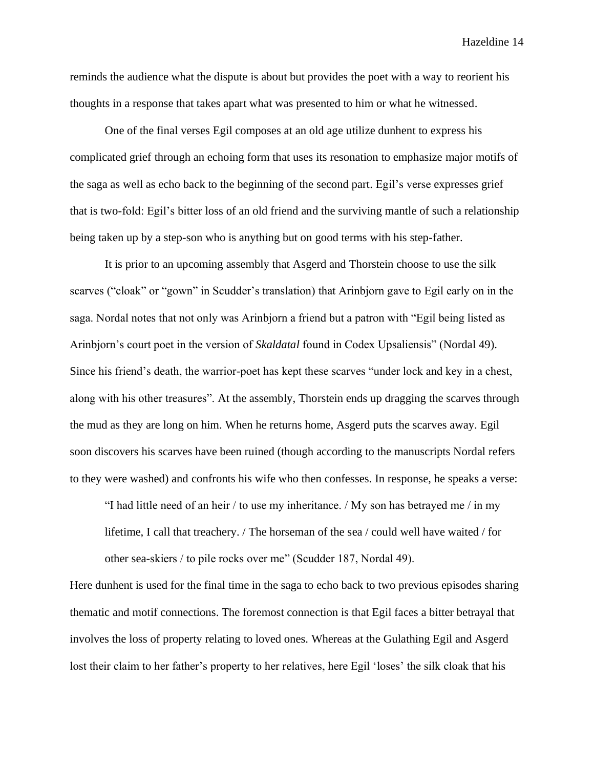reminds the audience what the dispute is about but provides the poet with a way to reorient his thoughts in a response that takes apart what was presented to him or what he witnessed.

One of the final verses Egil composes at an old age utilize dunhent to express his complicated grief through an echoing form that uses its resonation to emphasize major motifs of the saga as well as echo back to the beginning of the second part. Egil's verse expresses grief that is two-fold: Egil's bitter loss of an old friend and the surviving mantle of such a relationship being taken up by a step-son who is anything but on good terms with his step-father.

It is prior to an upcoming assembly that Asgerd and Thorstein choose to use the silk scarves ("cloak" or "gown" in Scudder's translation) that Arinbjorn gave to Egil early on in the saga. Nordal notes that not only was Arinbjorn a friend but a patron with "Egil being listed as Arinbjorn's court poet in the version of *Skaldatal* found in Codex Upsaliensis" (Nordal 49). Since his friend's death, the warrior-poet has kept these scarves "under lock and key in a chest, along with his other treasures". At the assembly, Thorstein ends up dragging the scarves through the mud as they are long on him. When he returns home, Asgerd puts the scarves away. Egil soon discovers his scarves have been ruined (though according to the manuscripts Nordal refers to they were washed) and confronts his wife who then confesses. In response, he speaks a verse:

"I had little need of an heir / to use my inheritance. / My son has betrayed me / in my lifetime, I call that treachery. / The horseman of the sea / could well have waited / for other sea-skiers / to pile rocks over me" (Scudder 187, Nordal 49).

Here dunhent is used for the final time in the saga to echo back to two previous episodes sharing thematic and motif connections. The foremost connection is that Egil faces a bitter betrayal that involves the loss of property relating to loved ones. Whereas at the Gulathing Egil and Asgerd lost their claim to her father's property to her relatives, here Egil 'loses' the silk cloak that his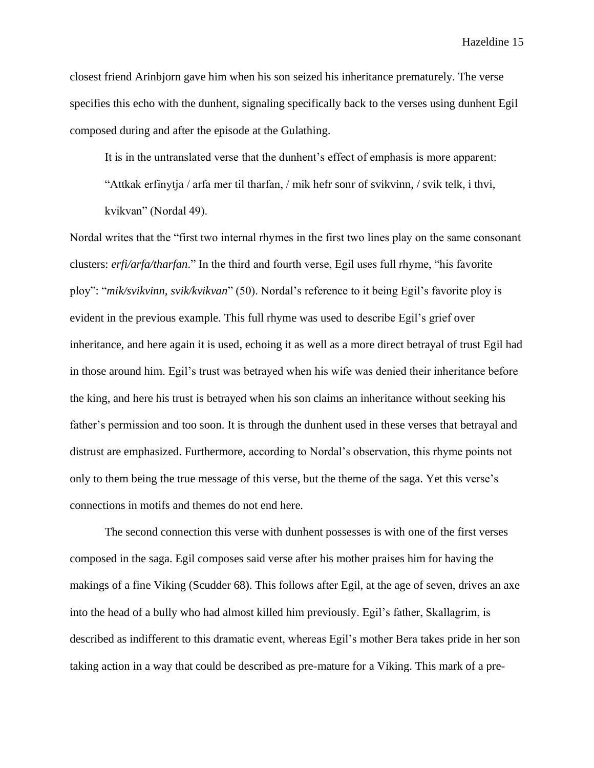closest friend Arinbjorn gave him when his son seized his inheritance prematurely. The verse specifies this echo with the dunhent, signaling specifically back to the verses using dunhent Egil composed during and after the episode at the Gulathing.

It is in the untranslated verse that the dunhent's effect of emphasis is more apparent:

"Attkak erfinytja / arfa mer til tharfan, / mik hefr sonr of svikvinn, / svik telk, i thvi, kvikvan" (Nordal 49).

Nordal writes that the "first two internal rhymes in the first two lines play on the same consonant clusters: *erfi/arfa/tharfan*." In the third and fourth verse, Egil uses full rhyme, "his favorite ploy": "*mik/svikvinn, svik/kvikvan*" (50). Nordal's reference to it being Egil's favorite ploy is evident in the previous example. This full rhyme was used to describe Egil's grief over inheritance, and here again it is used, echoing it as well as a more direct betrayal of trust Egil had in those around him. Egil's trust was betrayed when his wife was denied their inheritance before the king, and here his trust is betrayed when his son claims an inheritance without seeking his father's permission and too soon. It is through the dunhent used in these verses that betrayal and distrust are emphasized. Furthermore, according to Nordal's observation, this rhyme points not only to them being the true message of this verse, but the theme of the saga. Yet this verse's connections in motifs and themes do not end here.

The second connection this verse with dunhent possesses is with one of the first verses composed in the saga. Egil composes said verse after his mother praises him for having the makings of a fine Viking (Scudder 68). This follows after Egil, at the age of seven, drives an axe into the head of a bully who had almost killed him previously. Egil's father, Skallagrim, is described as indifferent to this dramatic event, whereas Egil's mother Bera takes pride in her son taking action in a way that could be described as pre-mature for a Viking. This mark of a pre-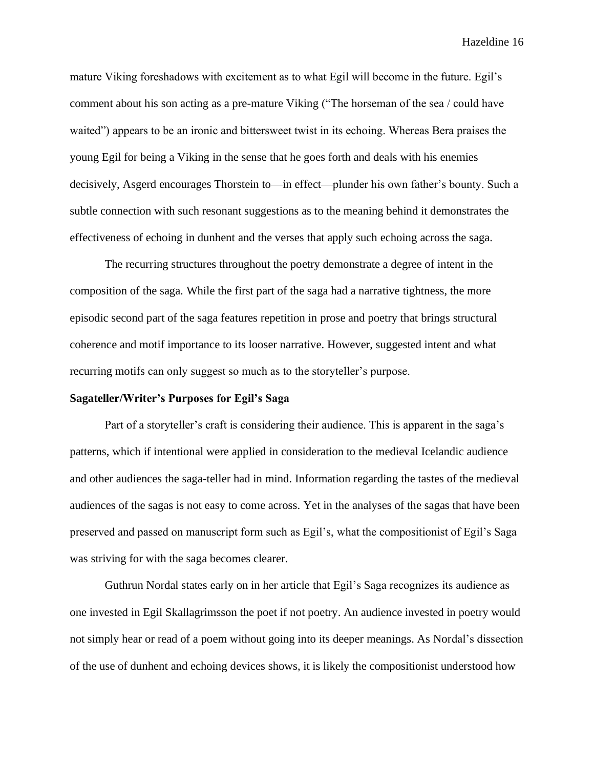mature Viking foreshadows with excitement as to what Egil will become in the future. Egil's comment about his son acting as a pre-mature Viking ("The horseman of the sea / could have waited") appears to be an ironic and bittersweet twist in its echoing. Whereas Bera praises the young Egil for being a Viking in the sense that he goes forth and deals with his enemies decisively, Asgerd encourages Thorstein to—in effect—plunder his own father's bounty. Such a subtle connection with such resonant suggestions as to the meaning behind it demonstrates the effectiveness of echoing in dunhent and the verses that apply such echoing across the saga.

The recurring structures throughout the poetry demonstrate a degree of intent in the composition of the saga. While the first part of the saga had a narrative tightness, the more episodic second part of the saga features repetition in prose and poetry that brings structural coherence and motif importance to its looser narrative. However, suggested intent and what recurring motifs can only suggest so much as to the storyteller's purpose.

### **Sagateller/Writer's Purposes for Egil's Saga**

Part of a storyteller's craft is considering their audience. This is apparent in the saga's patterns, which if intentional were applied in consideration to the medieval Icelandic audience and other audiences the saga-teller had in mind. Information regarding the tastes of the medieval audiences of the sagas is not easy to come across. Yet in the analyses of the sagas that have been preserved and passed on manuscript form such as Egil's, what the compositionist of Egil's Saga was striving for with the saga becomes clearer.

Guthrun Nordal states early on in her article that Egil's Saga recognizes its audience as one invested in Egil Skallagrimsson the poet if not poetry. An audience invested in poetry would not simply hear or read of a poem without going into its deeper meanings. As Nordal's dissection of the use of dunhent and echoing devices shows, it is likely the compositionist understood how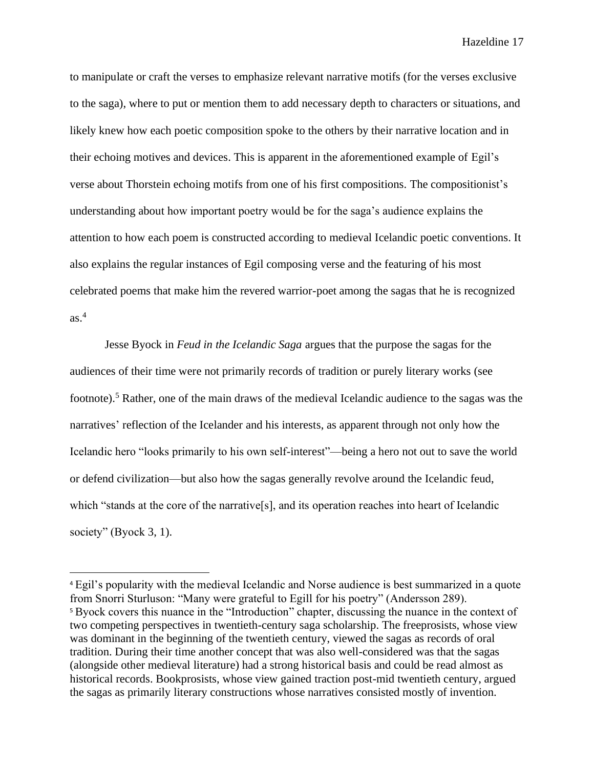to manipulate or craft the verses to emphasize relevant narrative motifs (for the verses exclusive to the saga), where to put or mention them to add necessary depth to characters or situations, and likely knew how each poetic composition spoke to the others by their narrative location and in their echoing motives and devices. This is apparent in the aforementioned example of Egil's verse about Thorstein echoing motifs from one of his first compositions. The compositionist's understanding about how important poetry would be for the saga's audience explains the attention to how each poem is constructed according to medieval Icelandic poetic conventions. It also explains the regular instances of Egil composing verse and the featuring of his most celebrated poems that make him the revered warrior-poet among the sagas that he is recognized as $<sup>4</sup>$ </sup>

Jesse Byock in *Feud in the Icelandic Saga* argues that the purpose the sagas for the audiences of their time were not primarily records of tradition or purely literary works (see footnote). <sup>5</sup> Rather, one of the main draws of the medieval Icelandic audience to the sagas was the narratives' reflection of the Icelander and his interests, as apparent through not only how the Icelandic hero "looks primarily to his own self-interest"—being a hero not out to save the world or defend civilization—but also how the sagas generally revolve around the Icelandic feud, which "stands at the core of the narrative[s], and its operation reaches into heart of Icelandic society" (Byock 3, 1).

<sup>4</sup> Egil's popularity with the medieval Icelandic and Norse audience is best summarized in a quote from Snorri Sturluson: "Many were grateful to Egill for his poetry" (Andersson 289). <sup>5</sup> Byock covers this nuance in the "Introduction" chapter, discussing the nuance in the context of two competing perspectives in twentieth-century saga scholarship. The freeprosists, whose view was dominant in the beginning of the twentieth century, viewed the sagas as records of oral tradition. During their time another concept that was also well-considered was that the sagas (alongside other medieval literature) had a strong historical basis and could be read almost as historical records. Bookprosists, whose view gained traction post-mid twentieth century, argued the sagas as primarily literary constructions whose narratives consisted mostly of invention.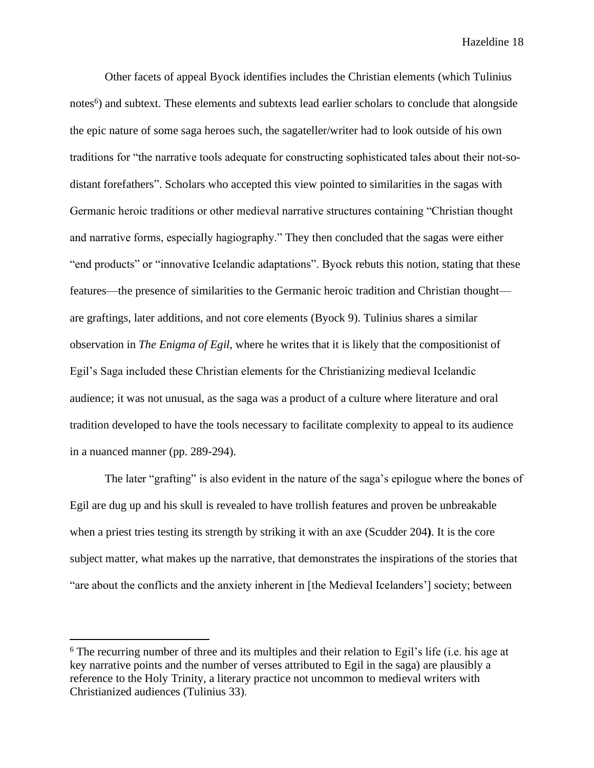Other facets of appeal Byock identifies includes the Christian elements (which Tulinius notes<sup>6</sup>) and subtext. These elements and subtexts lead earlier scholars to conclude that alongside the epic nature of some saga heroes such, the sagateller/writer had to look outside of his own traditions for "the narrative tools adequate for constructing sophisticated tales about their not-sodistant forefathers". Scholars who accepted this view pointed to similarities in the sagas with Germanic heroic traditions or other medieval narrative structures containing "Christian thought and narrative forms, especially hagiography." They then concluded that the sagas were either "end products" or "innovative Icelandic adaptations". Byock rebuts this notion, stating that these features—the presence of similarities to the Germanic heroic tradition and Christian thought are graftings, later additions, and not core elements (Byock 9). Tulinius shares a similar observation in *The Enigma of Egil,* where he writes that it is likely that the compositionist of Egil's Saga included these Christian elements for the Christianizing medieval Icelandic audience; it was not unusual, as the saga was a product of a culture where literature and oral tradition developed to have the tools necessary to facilitate complexity to appeal to its audience in a nuanced manner (pp. 289-294).

The later "grafting" is also evident in the nature of the saga's epilogue where the bones of Egil are dug up and his skull is revealed to have trollish features and proven be unbreakable when a priest tries testing its strength by striking it with an axe (Scudder 204**)**. It is the core subject matter, what makes up the narrative, that demonstrates the inspirations of the stories that "are about the conflicts and the anxiety inherent in [the Medieval Icelanders'] society; between

<sup>6</sup> The recurring number of three and its multiples and their relation to Egil's life (i.e. his age at key narrative points and the number of verses attributed to Egil in the saga) are plausibly a reference to the Holy Trinity, a literary practice not uncommon to medieval writers with Christianized audiences (Tulinius 33).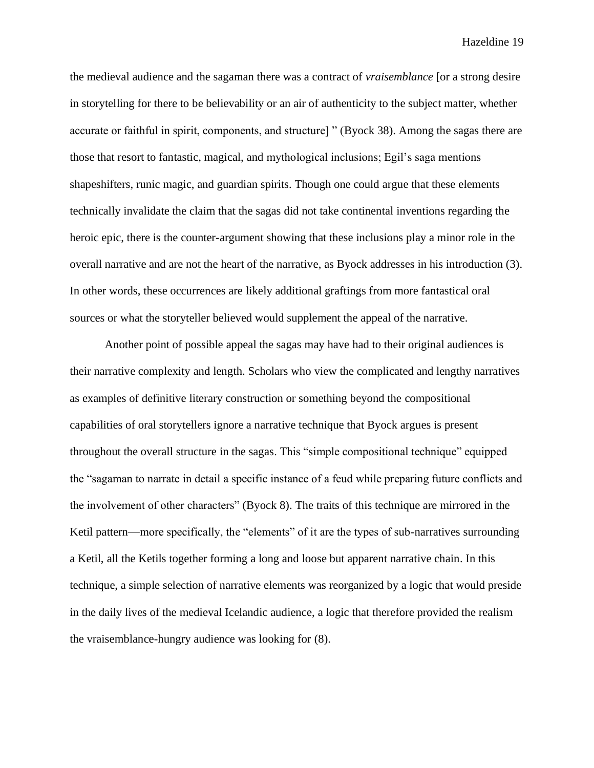the medieval audience and the sagaman there was a contract of *vraisemblance* [or a strong desire in storytelling for there to be believability or an air of authenticity to the subject matter, whether accurate or faithful in spirit, components, and structure] " (Byock 38). Among the sagas there are those that resort to fantastic, magical, and mythological inclusions; Egil's saga mentions shapeshifters, runic magic, and guardian spirits. Though one could argue that these elements technically invalidate the claim that the sagas did not take continental inventions regarding the heroic epic, there is the counter-argument showing that these inclusions play a minor role in the overall narrative and are not the heart of the narrative, as Byock addresses in his introduction (3). In other words, these occurrences are likely additional graftings from more fantastical oral sources or what the storyteller believed would supplement the appeal of the narrative.

Another point of possible appeal the sagas may have had to their original audiences is their narrative complexity and length. Scholars who view the complicated and lengthy narratives as examples of definitive literary construction or something beyond the compositional capabilities of oral storytellers ignore a narrative technique that Byock argues is present throughout the overall structure in the sagas. This "simple compositional technique" equipped the "sagaman to narrate in detail a specific instance of a feud while preparing future conflicts and the involvement of other characters" (Byock 8). The traits of this technique are mirrored in the Ketil pattern—more specifically, the "elements" of it are the types of sub-narratives surrounding a Ketil, all the Ketils together forming a long and loose but apparent narrative chain. In this technique, a simple selection of narrative elements was reorganized by a logic that would preside in the daily lives of the medieval Icelandic audience, a logic that therefore provided the realism the vraisemblance-hungry audience was looking for (8).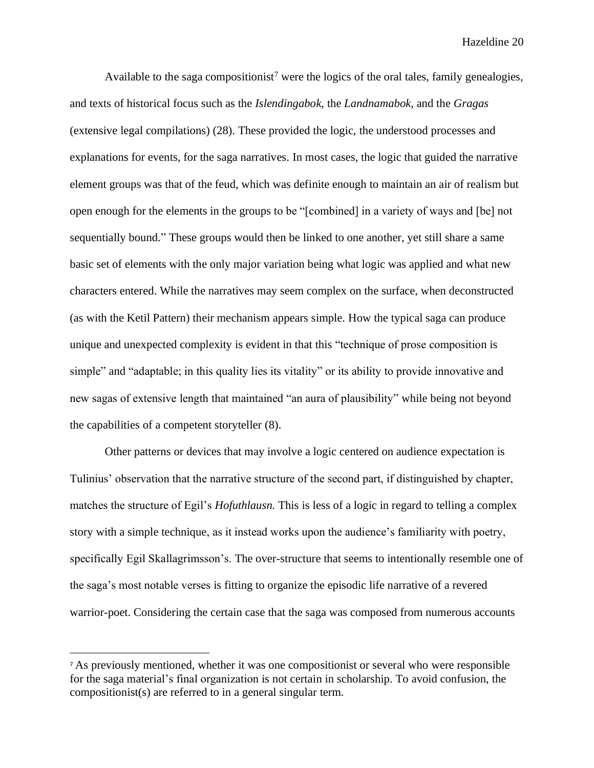Available to the saga compositionist<sup>7</sup> were the logics of the oral tales, family genealogies, and texts of historical focus such as the *Islendingabok,* the *Landnamabok,* and the *Gragas*  (extensive legal compilations) (28). These provided the logic, the understood processes and explanations for events, for the saga narratives. In most cases, the logic that guided the narrative element groups was that of the feud, which was definite enough to maintain an air of realism but open enough for the elements in the groups to be "[combined] in a variety of ways and [be] not sequentially bound." These groups would then be linked to one another, yet still share a same basic set of elements with the only major variation being what logic was applied and what new characters entered. While the narratives may seem complex on the surface, when deconstructed (as with the Ketil Pattern) their mechanism appears simple. How the typical saga can produce unique and unexpected complexity is evident in that this "technique of prose composition is simple" and "adaptable; in this quality lies its vitality" or its ability to provide innovative and new sagas of extensive length that maintained "an aura of plausibility" while being not beyond the capabilities of a competent storyteller (8).

Other patterns or devices that may involve a logic centered on audience expectation is Tulinius' observation that the narrative structure of the second part, if distinguished by chapter, matches the structure of Egil's *Hofuthlausn.* This is less of a logic in regard to telling a complex story with a simple technique, as it instead works upon the audience's familiarity with poetry, specifically Egil Skallagrimsson's. The over-structure that seems to intentionally resemble one of the saga's most notable verses is fitting to organize the episodic life narrative of a revered warrior-poet. Considering the certain case that the saga was composed from numerous accounts

<sup>7</sup> As previously mentioned, whether it was one compositionist or several who were responsible for the saga material's final organization is not certain in scholarship. To avoid confusion, the compositionist(s) are referred to in a general singular term.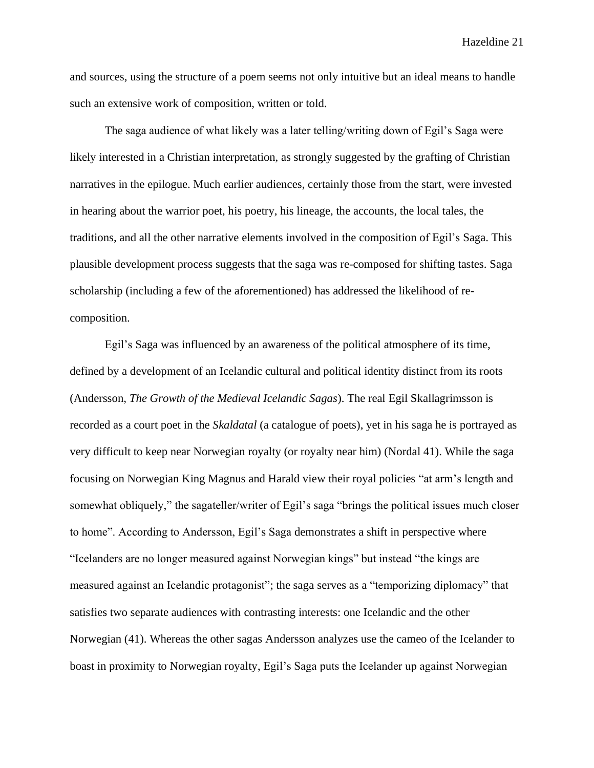and sources, using the structure of a poem seems not only intuitive but an ideal means to handle such an extensive work of composition, written or told.

The saga audience of what likely was a later telling/writing down of Egil's Saga were likely interested in a Christian interpretation, as strongly suggested by the grafting of Christian narratives in the epilogue. Much earlier audiences, certainly those from the start, were invested in hearing about the warrior poet, his poetry, his lineage, the accounts, the local tales, the traditions, and all the other narrative elements involved in the composition of Egil's Saga. This plausible development process suggests that the saga was re-composed for shifting tastes. Saga scholarship (including a few of the aforementioned) has addressed the likelihood of recomposition.

Egil's Saga was influenced by an awareness of the political atmosphere of its time, defined by a development of an Icelandic cultural and political identity distinct from its roots (Andersson, *The Growth of the Medieval Icelandic Sagas*). The real Egil Skallagrimsson is recorded as a court poet in the *Skaldatal* (a catalogue of poets), yet in his saga he is portrayed as very difficult to keep near Norwegian royalty (or royalty near him) (Nordal 41). While the saga focusing on Norwegian King Magnus and Harald view their royal policies "at arm's length and somewhat obliquely," the sagateller/writer of Egil's saga "brings the political issues much closer to home". According to Andersson, Egil's Saga demonstrates a shift in perspective where "Icelanders are no longer measured against Norwegian kings" but instead "the kings are measured against an Icelandic protagonist"; the saga serves as a "temporizing diplomacy" that satisfies two separate audiences with contrasting interests: one Icelandic and the other Norwegian (41). Whereas the other sagas Andersson analyzes use the cameo of the Icelander to boast in proximity to Norwegian royalty, Egil's Saga puts the Icelander up against Norwegian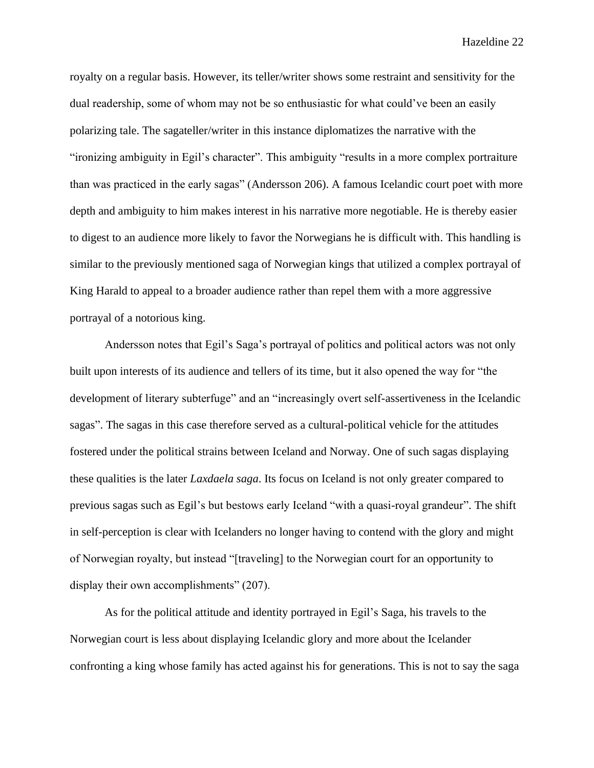royalty on a regular basis. However, its teller/writer shows some restraint and sensitivity for the dual readership, some of whom may not be so enthusiastic for what could've been an easily polarizing tale. The sagateller/writer in this instance diplomatizes the narrative with the "ironizing ambiguity in Egil's character". This ambiguity "results in a more complex portraiture than was practiced in the early sagas" (Andersson 206). A famous Icelandic court poet with more depth and ambiguity to him makes interest in his narrative more negotiable. He is thereby easier to digest to an audience more likely to favor the Norwegians he is difficult with. This handling is similar to the previously mentioned saga of Norwegian kings that utilized a complex portrayal of King Harald to appeal to a broader audience rather than repel them with a more aggressive portrayal of a notorious king.

Andersson notes that Egil's Saga's portrayal of politics and political actors was not only built upon interests of its audience and tellers of its time, but it also opened the way for "the development of literary subterfuge" and an "increasingly overt self-assertiveness in the Icelandic sagas". The sagas in this case therefore served as a cultural-political vehicle for the attitudes fostered under the political strains between Iceland and Norway. One of such sagas displaying these qualities is the later *Laxdaela saga*. Its focus on Iceland is not only greater compared to previous sagas such as Egil's but bestows early Iceland "with a quasi-royal grandeur". The shift in self-perception is clear with Icelanders no longer having to contend with the glory and might of Norwegian royalty, but instead "[traveling] to the Norwegian court for an opportunity to display their own accomplishments" (207).

As for the political attitude and identity portrayed in Egil's Saga, his travels to the Norwegian court is less about displaying Icelandic glory and more about the Icelander confronting a king whose family has acted against his for generations. This is not to say the saga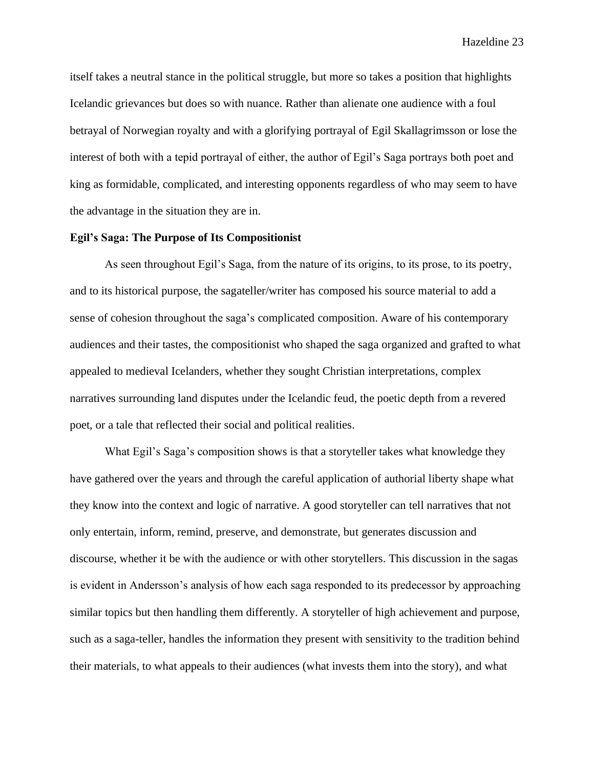itself takes a neutral stance in the political struggle, but more so takes a position that highlights Icelandic grievances but does so with nuance. Rather than alienate one audience with a foul betrayal of Norwegian royalty and with a glorifying portrayal of Egil Skallagrimsson or lose the interest of both with a tepid portrayal of either, the author of Egil's Saga portrays both poet and king as formidable, complicated, and interesting opponents regardless of who may seem to have the advantage in the situation they are in.

#### **Egil's Saga: The Purpose of Its Compositionist**

As seen throughout Egil's Saga, from the nature of its origins, to its prose, to its poetry, and to its historical purpose, the sagateller/writer has composed his source material to add a sense of cohesion throughout the saga's complicated composition. Aware of his contemporary audiences and their tastes, the compositionist who shaped the saga organized and grafted to what appealed to medieval Icelanders, whether they sought Christian interpretations, complex narratives surrounding land disputes under the Icelandic feud, the poetic depth from a revered poet, or a tale that reflected their social and political realities.

What Egil's Saga's composition shows is that a storyteller takes what knowledge they have gathered over the years and through the careful application of authorial liberty shape what they know into the context and logic of narrative. A good storyteller can tell narratives that not only entertain, inform, remind, preserve, and demonstrate, but generates discussion and discourse, whether it be with the audience or with other storytellers. This discussion in the sagas is evident in Andersson's analysis of how each saga responded to its predecessor by approaching similar topics but then handling them differently. A storyteller of high achievement and purpose, such as a saga-teller, handles the information they present with sensitivity to the tradition behind their materials, to what appeals to their audiences (what invests them into the story), and what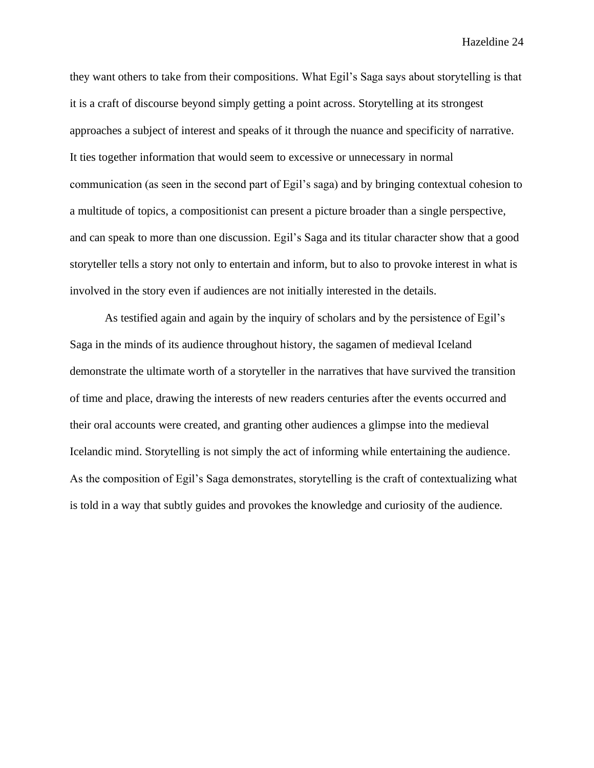they want others to take from their compositions. What Egil's Saga says about storytelling is that it is a craft of discourse beyond simply getting a point across. Storytelling at its strongest approaches a subject of interest and speaks of it through the nuance and specificity of narrative. It ties together information that would seem to excessive or unnecessary in normal communication (as seen in the second part of Egil's saga) and by bringing contextual cohesion to a multitude of topics, a compositionist can present a picture broader than a single perspective, and can speak to more than one discussion. Egil's Saga and its titular character show that a good storyteller tells a story not only to entertain and inform, but to also to provoke interest in what is involved in the story even if audiences are not initially interested in the details.

As testified again and again by the inquiry of scholars and by the persistence of Egil's Saga in the minds of its audience throughout history, the sagamen of medieval Iceland demonstrate the ultimate worth of a storyteller in the narratives that have survived the transition of time and place, drawing the interests of new readers centuries after the events occurred and their oral accounts were created, and granting other audiences a glimpse into the medieval Icelandic mind. Storytelling is not simply the act of informing while entertaining the audience. As the composition of Egil's Saga demonstrates, storytelling is the craft of contextualizing what is told in a way that subtly guides and provokes the knowledge and curiosity of the audience.